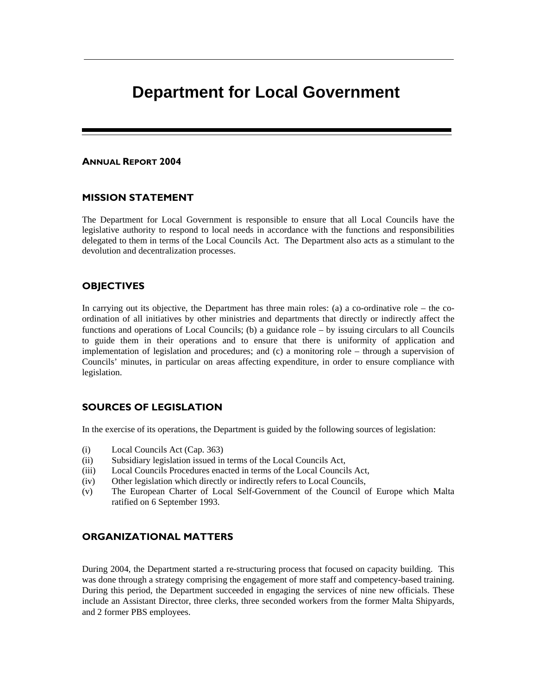# **Department for Local Government**

#### ANNUAL REPORT 2004

# MISSION STATEMENT

The Department for Local Government is responsible to ensure that all Local Councils have the legislative authority to respond to local needs in accordance with the functions and responsibilities delegated to them in terms of the Local Councils Act. The Department also acts as a stimulant to the devolution and decentralization processes.

# **OBJECTIVES**

In carrying out its objective, the Department has three main roles: (a) a co-ordinative role – the coordination of all initiatives by other ministries and departments that directly or indirectly affect the functions and operations of Local Councils; (b) a guidance role – by issuing circulars to all Councils to guide them in their operations and to ensure that there is uniformity of application and implementation of legislation and procedures; and (c) a monitoring role – through a supervision of Councils' minutes, in particular on areas affecting expenditure, in order to ensure compliance with legislation.

# SOURCES OF LEGISLATION

In the exercise of its operations, the Department is guided by the following sources of legislation:

- (i) Local Councils Act (Cap. 363)
- (ii) Subsidiary legislation issued in terms of the Local Councils Act,
- (iii) Local Councils Procedures enacted in terms of the Local Councils Act,
- (iv) Other legislation which directly or indirectly refers to Local Councils,
- (v) The European Charter of Local Self-Government of the Council of Europe which Malta ratified on 6 September 1993.

## ORGANIZATIONAL MATTERS

During 2004, the Department started a re-structuring process that focused on capacity building. This was done through a strategy comprising the engagement of more staff and competency-based training. During this period, the Department succeeded in engaging the services of nine new officials. These include an Assistant Director, three clerks, three seconded workers from the former Malta Shipyards, and 2 former PBS employees.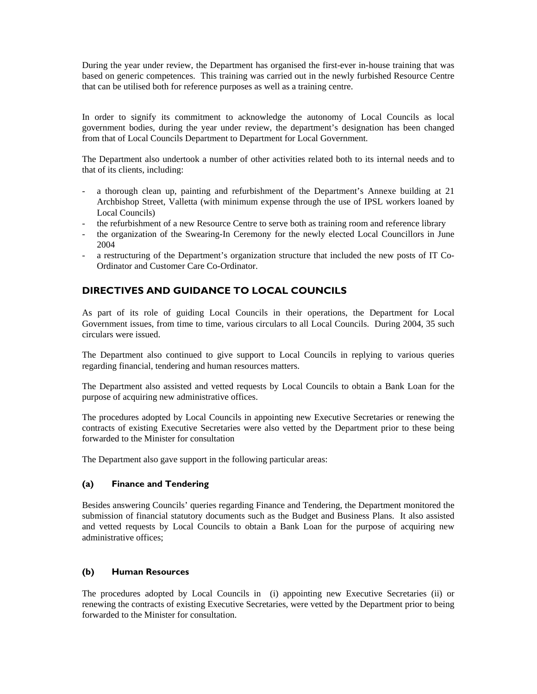During the year under review, the Department has organised the first-ever in-house training that was based on generic competences. This training was carried out in the newly furbished Resource Centre that can be utilised both for reference purposes as well as a training centre.

In order to signify its commitment to acknowledge the autonomy of Local Councils as local government bodies, during the year under review, the department's designation has been changed from that of Local Councils Department to Department for Local Government.

The Department also undertook a number of other activities related both to its internal needs and to that of its clients, including:

- a thorough clean up, painting and refurbishment of the Department's Annexe building at 21 Archbishop Street, Valletta (with minimum expense through the use of IPSL workers loaned by Local Councils)
- the refurbishment of a new Resource Centre to serve both as training room and reference library
- the organization of the Swearing-In Ceremony for the newly elected Local Councillors in June 2004
- a restructuring of the Department's organization structure that included the new posts of IT Co-Ordinator and Customer Care Co-Ordinator.

# DIRECTIVES AND GUIDANCE TO LOCAL COUNCILS

As part of its role of guiding Local Councils in their operations, the Department for Local Government issues, from time to time, various circulars to all Local Councils. During 2004, 35 such circulars were issued.

The Department also continued to give support to Local Councils in replying to various queries regarding financial, tendering and human resources matters.

The Department also assisted and vetted requests by Local Councils to obtain a Bank Loan for the purpose of acquiring new administrative offices.

The procedures adopted by Local Councils in appointing new Executive Secretaries or renewing the contracts of existing Executive Secretaries were also vetted by the Department prior to these being forwarded to the Minister for consultation

The Department also gave support in the following particular areas:

#### (a) Finance and Tendering

Besides answering Councils' queries regarding Finance and Tendering, the Department monitored the submission of financial statutory documents such as the Budget and Business Plans. It also assisted and vetted requests by Local Councils to obtain a Bank Loan for the purpose of acquiring new administrative offices;

#### (b) Human Resources

The procedures adopted by Local Councils in (i) appointing new Executive Secretaries (ii) or renewing the contracts of existing Executive Secretaries, were vetted by the Department prior to being forwarded to the Minister for consultation.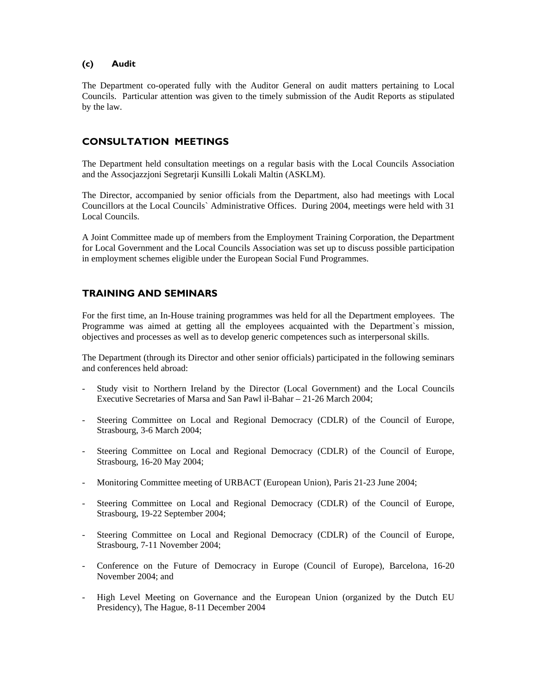#### (c) Audit

The Department co-operated fully with the Auditor General on audit matters pertaining to Local Councils. Particular attention was given to the timely submission of the Audit Reports as stipulated by the law.

# CONSULTATION MEETINGS

The Department held consultation meetings on a regular basis with the Local Councils Association and the Assocjazzjoni Segretarji Kunsilli Lokali Maltin (ASKLM).

The Director, accompanied by senior officials from the Department, also had meetings with Local Councillors at the Local Councils` Administrative Offices. During 2004, meetings were held with 31 Local Councils.

A Joint Committee made up of members from the Employment Training Corporation, the Department for Local Government and the Local Councils Association was set up to discuss possible participation in employment schemes eligible under the European Social Fund Programmes.

# TRAINING AND SEMINARS

For the first time, an In-House training programmes was held for all the Department employees. The Programme was aimed at getting all the employees acquainted with the Department`s mission, objectives and processes as well as to develop generic competences such as interpersonal skills.

The Department (through its Director and other senior officials) participated in the following seminars and conferences held abroad:

- Study visit to Northern Ireland by the Director (Local Government) and the Local Councils Executive Secretaries of Marsa and San Pawl il-Bahar – 21-26 March 2004;
- Steering Committee on Local and Regional Democracy (CDLR) of the Council of Europe, Strasbourg, 3-6 March 2004;
- Steering Committee on Local and Regional Democracy (CDLR) of the Council of Europe, Strasbourg, 16-20 May 2004;
- Monitoring Committee meeting of URBACT (European Union), Paris 21-23 June 2004;
- Steering Committee on Local and Regional Democracy (CDLR) of the Council of Europe, Strasbourg, 19-22 September 2004;
- Steering Committee on Local and Regional Democracy (CDLR) of the Council of Europe, Strasbourg, 7-11 November 2004;
- Conference on the Future of Democracy in Europe (Council of Europe), Barcelona, 16-20 November 2004; and
- High Level Meeting on Governance and the European Union (organized by the Dutch EU Presidency), The Hague, 8-11 December 2004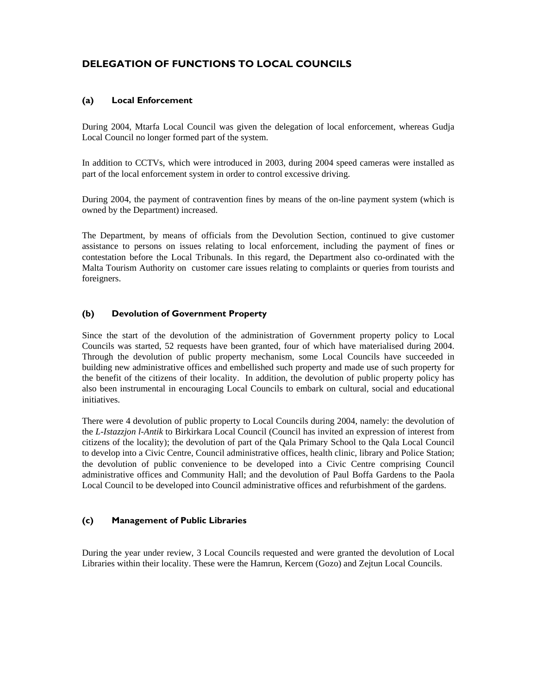# DELEGATION OF FUNCTIONS TO LOCAL COUNCILS

## (a) Local Enforcement

During 2004, Mtarfa Local Council was given the delegation of local enforcement, whereas Gudja Local Council no longer formed part of the system.

In addition to CCTVs, which were introduced in 2003, during 2004 speed cameras were installed as part of the local enforcement system in order to control excessive driving.

During 2004, the payment of contravention fines by means of the on-line payment system (which is owned by the Department) increased.

The Department, by means of officials from the Devolution Section, continued to give customer assistance to persons on issues relating to local enforcement, including the payment of fines or contestation before the Local Tribunals. In this regard, the Department also co-ordinated with the Malta Tourism Authority on customer care issues relating to complaints or queries from tourists and foreigners.

## (b) Devolution of Government Property

Since the start of the devolution of the administration of Government property policy to Local Councils was started, 52 requests have been granted, four of which have materialised during 2004. Through the devolution of public property mechanism, some Local Councils have succeeded in building new administrative offices and embellished such property and made use of such property for the benefit of the citizens of their locality. In addition, the devolution of public property policy has also been instrumental in encouraging Local Councils to embark on cultural, social and educational initiatives.

There were 4 devolution of public property to Local Councils during 2004, namely: the devolution of the *L-Istazzjon l-Antik* to Birkirkara Local Council (Council has invited an expression of interest from citizens of the locality); the devolution of part of the Qala Primary School to the Qala Local Council to develop into a Civic Centre, Council administrative offices, health clinic, library and Police Station; the devolution of public convenience to be developed into a Civic Centre comprising Council administrative offices and Community Hall; and the devolution of Paul Boffa Gardens to the Paola Local Council to be developed into Council administrative offices and refurbishment of the gardens.

#### (c) Management of Public Libraries

During the year under review, 3 Local Councils requested and were granted the devolution of Local Libraries within their locality. These were the Hamrun, Kercem (Gozo) and Zejtun Local Councils.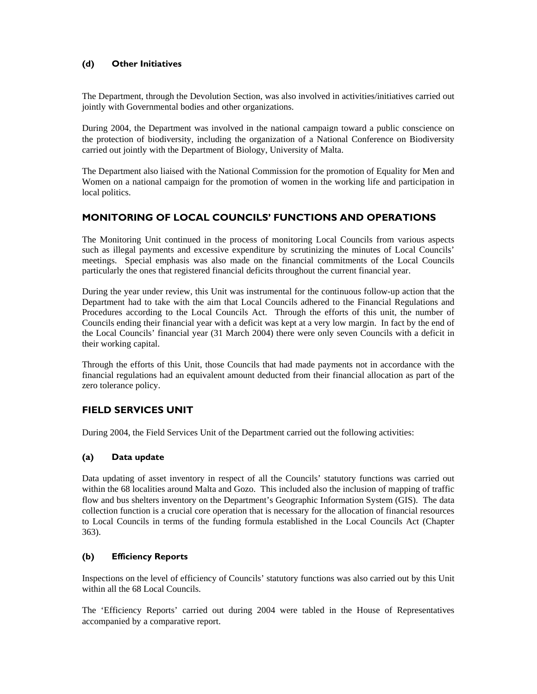## (d) Other Initiatives

The Department, through the Devolution Section, was also involved in activities/initiatives carried out jointly with Governmental bodies and other organizations.

During 2004, the Department was involved in the national campaign toward a public conscience on the protection of biodiversity, including the organization of a National Conference on Biodiversity carried out jointly with the Department of Biology, University of Malta.

The Department also liaised with the National Commission for the promotion of Equality for Men and Women on a national campaign for the promotion of women in the working life and participation in local politics.

# MONITORING OF LOCAL COUNCILS' FUNCTIONS AND OPERATIONS

The Monitoring Unit continued in the process of monitoring Local Councils from various aspects such as illegal payments and excessive expenditure by scrutinizing the minutes of Local Councils' meetings. Special emphasis was also made on the financial commitments of the Local Councils particularly the ones that registered financial deficits throughout the current financial year.

During the year under review, this Unit was instrumental for the continuous follow-up action that the Department had to take with the aim that Local Councils adhered to the Financial Regulations and Procedures according to the Local Councils Act. Through the efforts of this unit, the number of Councils ending their financial year with a deficit was kept at a very low margin. In fact by the end of the Local Councils' financial year (31 March 2004) there were only seven Councils with a deficit in their working capital.

Through the efforts of this Unit, those Councils that had made payments not in accordance with the financial regulations had an equivalent amount deducted from their financial allocation as part of the zero tolerance policy.

# FIELD SERVICES UNIT

During 2004, the Field Services Unit of the Department carried out the following activities:

## (a) Data update

Data updating of asset inventory in respect of all the Councils' statutory functions was carried out within the 68 localities around Malta and Gozo. This included also the inclusion of mapping of traffic flow and bus shelters inventory on the Department's Geographic Information System (GIS). The data collection function is a crucial core operation that is necessary for the allocation of financial resources to Local Councils in terms of the funding formula established in the Local Councils Act (Chapter 363).

## (b) Efficiency Reports

Inspections on the level of efficiency of Councils' statutory functions was also carried out by this Unit within all the 68 Local Councils.

The 'Efficiency Reports' carried out during 2004 were tabled in the House of Representatives accompanied by a comparative report.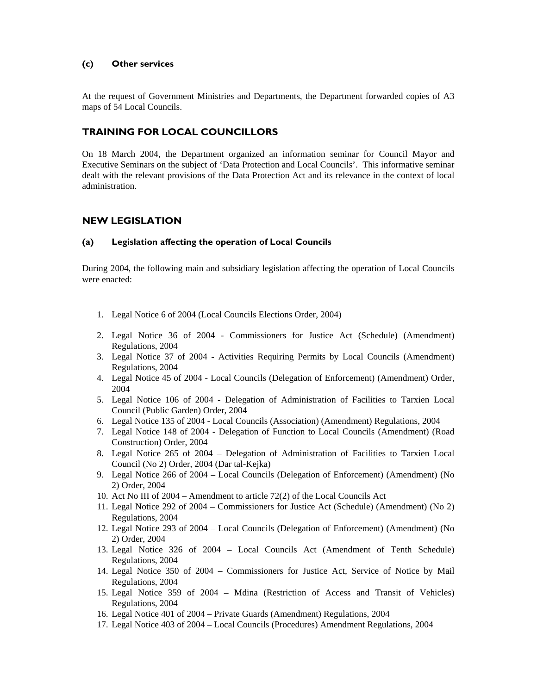## (c) Other services

At the request of Government Ministries and Departments, the Department forwarded copies of A3 maps of 54 Local Councils.

# TRAINING FOR LOCAL COUNCILLORS

On 18 March 2004, the Department organized an information seminar for Council Mayor and Executive Seminars on the subject of 'Data Protection and Local Councils'. This informative seminar dealt with the relevant provisions of the Data Protection Act and its relevance in the context of local administration.

## NEW LEGISLATION

#### (a) Legislation affecting the operation of Local Councils

During 2004, the following main and subsidiary legislation affecting the operation of Local Councils were enacted:

- 1. Legal Notice 6 of 2004 (Local Councils Elections Order, 2004)
- 2. Legal Notice 36 of 2004 Commissioners for Justice Act (Schedule) (Amendment) Regulations, 2004
- 3. Legal Notice 37 of 2004 Activities Requiring Permits by Local Councils (Amendment) Regulations, 2004
- 4. Legal Notice 45 of 2004 Local Councils (Delegation of Enforcement) (Amendment) Order, 2004
- 5. Legal Notice 106 of 2004 Delegation of Administration of Facilities to Tarxien Local Council (Public Garden) Order, 2004
- 6. Legal Notice 135 of 2004 Local Councils (Association) (Amendment) Regulations, 2004
- 7. Legal Notice 148 of 2004 Delegation of Function to Local Councils (Amendment) (Road Construction) Order, 2004
- 8. Legal Notice 265 of 2004 Delegation of Administration of Facilities to Tarxien Local Council (No 2) Order, 2004 (Dar tal-Kejka)
- 9. Legal Notice 266 of 2004 Local Councils (Delegation of Enforcement) (Amendment) (No 2) Order, 2004
- 10. Act No III of 2004 Amendment to article 72(2) of the Local Councils Act
- 11. Legal Notice 292 of 2004 Commissioners for Justice Act (Schedule) (Amendment) (No 2) Regulations, 2004
- 12. Legal Notice 293 of 2004 Local Councils (Delegation of Enforcement) (Amendment) (No 2) Order, 2004
- 13. Legal Notice 326 of 2004 Local Councils Act (Amendment of Tenth Schedule) Regulations, 2004
- 14. Legal Notice 350 of 2004 Commissioners for Justice Act, Service of Notice by Mail Regulations, 2004
- 15. Legal Notice 359 of 2004 Mdina (Restriction of Access and Transit of Vehicles) Regulations, 2004
- 16. Legal Notice 401 of 2004 Private Guards (Amendment) Regulations, 2004
- 17. Legal Notice 403 of 2004 Local Councils (Procedures) Amendment Regulations, 2004